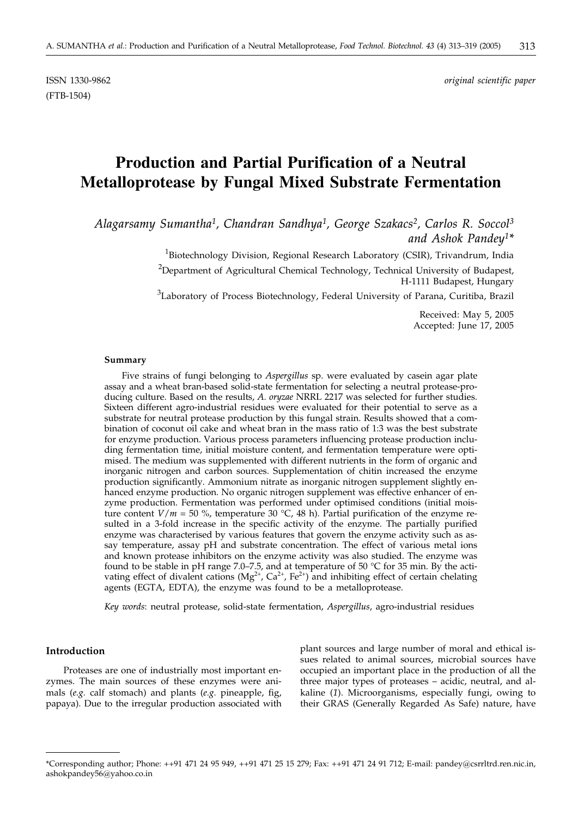(FTB-1504)

# **Production and Partial Purification of a Neutral Metalloprotease by Fungal Mixed Substrate Fermentation**

*Alagarsamy Sumantha1, Chandran Sandhya1, George Szakacs2, Carlos R. Soccol3 and Ashok Pandey1\**

> <sup>1</sup>Biotechnology Division, Regional Research Laboratory (CSIR), Trivandrum, India <sup>2</sup>Department of Agricultural Chemical Technology, Technical University of Budapest, H-1111 Budapest, Hungary

> ${}^{3}$ Laboratory of Process Biotechnology, Federal University of Parana, Curitiba, Brazil

Received: May 5, 2005 Accepted: June 17, 2005

#### **Summary**

Five strains of fungi belonging to *Aspergillus* sp. were evaluated by casein agar plate assay and a wheat bran-based solid-state fermentation for selecting a neutral protease-producing culture. Based on the results, *A. oryzae* NRRL 2217 was selected for further studies. Sixteen different agro-industrial residues were evaluated for their potential to serve as a substrate for neutral protease production by this fungal strain. Results showed that a combination of coconut oil cake and wheat bran in the mass ratio of 1:3 was the best substrate for enzyme production. Various process parameters influencing protease production including fermentation time, initial moisture content, and fermentation temperature were optimised. The medium was supplemented with different nutrients in the form of organic and inorganic nitrogen and carbon sources. Supplementation of chitin increased the enzyme production significantly. Ammonium nitrate as inorganic nitrogen supplement slightly enhanced enzyme production. No organic nitrogen supplement was effective enhancer of enzyme production. Fermentation was performed under optimised conditions (initial moisture content  $V/m = 50$  %, temperature 30 °C, 48 h). Partial purification of the enzyme resulted in a 3-fold increase in the specific activity of the enzyme. The partially purified enzyme was characterised by various features that govern the enzyme activity such as assay temperature, assay pH and substrate concentration. The effect of various metal ions and known protease inhibitors on the enzyme activity was also studied. The enzyme was found to be stable in pH range 7.0–7.5, and at temperature of 50 °C for 35 min. By the activating effect of divalent cations (Mg<sup>2+</sup>, Ca<sup>2+</sup>, Fe<sup>2+</sup>) and inhibiting effect of certain chelating agents (EGTA, EDTA), the enzyme was found to be a metalloprotease.

*Key words*: neutral protease, solid-state fermentation, *Aspergillus*, agro-industrial residues

#### **Introduction**

Proteases are one of industrially most important enzymes. The main sources of these enzymes were animals (*e.g.* calf stomach) and plants (*e.g.* pineapple, fig, papaya). Due to the irregular production associated with

plant sources and large number of moral and ethical issues related to animal sources, microbial sources have occupied an important place in the production of all the three major types of proteases – acidic, neutral, and alkaline (*1*). Microorganisms, especially fungi, owing to their GRAS (Generally Regarded As Safe) nature, have

<sup>\*</sup>Corresponding author; Phone: ++91 471 24 95 949, ++91 471 25 15 279; Fax: ++91 471 24 91 712; E-mail: pandey@csrrltrd.ren.nic.in, ashokpandey56@yahoo.co.in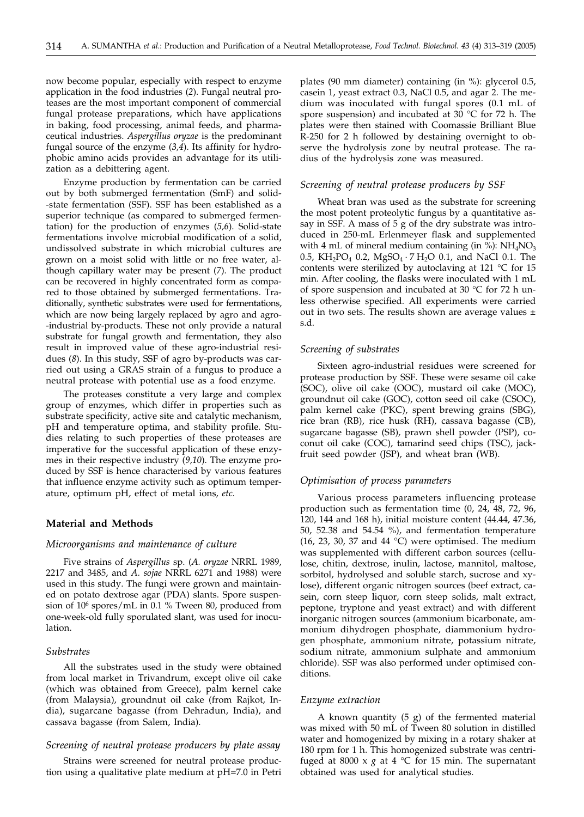now become popular, especially with respect to enzyme application in the food industries (*2*). Fungal neutral proteases are the most important component of commercial fungal protease preparations, which have applications in baking, food processing, animal feeds, and pharmaceutical industries. *Aspergillus oryzae* is the predominant fungal source of the enzyme (*3,4*). Its affinity for hydrophobic amino acids provides an advantage for its utilization as a debittering agent.

Enzyme production by fermentation can be carried out by both submerged fermentation (SmF) and solid- -state fermentation (SSF). SSF has been established as a superior technique (as compared to submerged fermentation) for the production of enzymes (*5,6*). Solid-state fermentations involve microbial modification of a solid, undissolved substrate in which microbial cultures are grown on a moist solid with little or no free water, although capillary water may be present (*7*). The product can be recovered in highly concentrated form as compared to those obtained by submerged fermentations. Traditionally, synthetic substrates were used for fermentations, which are now being largely replaced by agro and agro- -industrial by-products. These not only provide a natural substrate for fungal growth and fermentation, they also result in improved value of these agro-industrial residues (*8*). In this study, SSF of agro by-products was carried out using a GRAS strain of a fungus to produce a neutral protease with potential use as a food enzyme.

The proteases constitute a very large and complex group of enzymes, which differ in properties such as substrate specificity, active site and catalytic mechanism, pH and temperature optima, and stability profile. Studies relating to such properties of these proteases are imperative for the successful application of these enzymes in their respective industry (*9,10*). The enzyme produced by SSF is hence characterised by various features that influence enzyme activity such as optimum temperature, optimum pH, effect of metal ions, *etc.*

#### **Material and Methods**

## *Microorganisms and maintenance of culture*

Five strains of *Aspergillus* sp. (*A. oryzae* NRRL 1989, 2217 and 3485, and *A. sojae* NRRL 6271 and 1988) were used in this study. The fungi were grown and maintained on potato dextrose agar (PDA) slants. Spore suspension of 106 spores/mL in 0.1 % Tween 80, produced from one-week-old fully sporulated slant, was used for inoculation.

#### *Substrates*

All the substrates used in the study were obtained from local market in Trivandrum, except olive oil cake (which was obtained from Greece), palm kernel cake (from Malaysia), groundnut oil cake (from Rajkot, India), sugarcane bagasse (from Dehradun, India), and cassava bagasse (from Salem, India).

## *Screening of neutral protease producers by plate assay*

Strains were screened for neutral protease production using a qualitative plate medium at pH=7.0 in Petri plates (90 mm diameter) containing (in %): glycerol 0.5, casein 1, yeast extract 0.3, NaCl 0.5, and agar 2. The medium was inoculated with fungal spores (0.1 mL of spore suspension) and incubated at 30 °C for 72 h. The plates were then stained with Coomassie Brilliant Blue R-250 for 2 h followed by destaining overnight to observe the hydrolysis zone by neutral protease. The radius of the hydrolysis zone was measured.

#### *Screening of neutral protease producers by SSF*

Wheat bran was used as the substrate for screening the most potent proteolytic fungus by a quantitative assay in SSF. A mass of 5 g of the dry substrate was introduced in 250-mL Erlenmeyer flask and supplemented with 4 mL of mineral medium containing (in %):  $NH<sub>4</sub>NO<sub>3</sub>$ 0.5, KH<sub>2</sub>PO<sub>4</sub> 0.2, MgSO<sub>4</sub> · 7 H<sub>2</sub>O 0.1, and NaCl 0.1. The contents were sterilized by autoclaving at 121 °C for 15 min. After cooling, the flasks were inoculated with 1 mL of spore suspension and incubated at 30 °C for 72 h unless otherwise specified. All experiments were carried out in two sets. The results shown are average values  $\pm$ s.d.

#### *Screening of substrates*

Sixteen agro-industrial residues were screened for protease production by SSF. These were sesame oil cake (SOC), olive oil cake (OOC), mustard oil cake (MOC), groundnut oil cake (GOC), cotton seed oil cake (CSOC), palm kernel cake (PKC), spent brewing grains (SBG), rice bran (RB), rice husk (RH), cassava bagasse (CB), sugarcane bagasse (SB), prawn shell powder (PSP), coconut oil cake (COC), tamarind seed chips (TSC), jackfruit seed powder (JSP), and wheat bran (WB).

#### *Optimisation of process parameters*

Various process parameters influencing protease production such as fermentation time (0, 24, 48, 72, 96, 120, 144 and 168 h), initial moisture content (44.44, 47.36, 50, 52.38 and 54.54 %), and fermentation temperature (16, 23, 30, 37 and 44  $^{\circ}$ C) were optimised. The medium was supplemented with different carbon sources (cellulose, chitin, dextrose, inulin, lactose, mannitol, maltose, sorbitol, hydrolysed and soluble starch, sucrose and xylose), different organic nitrogen sources (beef extract, casein, corn steep liquor, corn steep solids, malt extract, peptone, tryptone and yeast extract) and with different inorganic nitrogen sources (ammonium bicarbonate, ammonium dihydrogen phosphate, diammonium hydrogen phosphate, ammonium nitrate, potassium nitrate, sodium nitrate, ammonium sulphate and ammonium chloride). SSF was also performed under optimised conditions.

#### *Enzyme extraction*

A known quantity (5 g) of the fermented material was mixed with 50 mL of Tween 80 solution in distilled water and homogenized by mixing in a rotary shaker at 180 rpm for 1 h. This homogenized substrate was centrifuged at 8000 x  $g$  at 4 °C for 15 min. The supernatant obtained was used for analytical studies.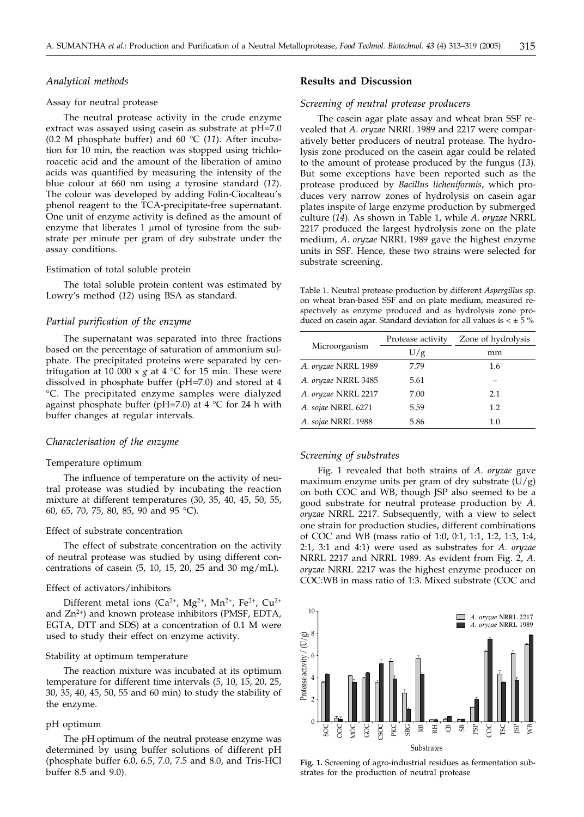## *Analytical methods*

#### Assay for neutral protease

The neutral protease activity in the crude enzyme extract was assayed using casein as substrate at pH=7.0 (0.2 M phosphate buffer) and 60 °C (*11*). After incubation for 10 min, the reaction was stopped using trichloroacetic acid and the amount of the liberation of amino acids was quantified by measuring the intensity of the blue colour at 660 nm using a tyrosine standard (*12*). The colour was developed by adding Folin-Ciocalteau's phenol reagent to the TCA-precipitate-free supernatant. One unit of enzyme activity is defined as the amount of enzyme that liberates 1  $\mu$ mol of tyrosine from the substrate per minute per gram of dry substrate under the assay conditions.

#### Estimation of total soluble protein

The total soluble protein content was estimated by Lowry's method (*12*) using BSA as standard.

#### *Partial purification of the enzyme*

The supernatant was separated into three fractions based on the percentage of saturation of ammonium sulphate. The precipitated proteins were separated by centrifugation at 10 000 x  $g$  at 4  $^{\circ}$ C for 15 min. These were dissolved in phosphate buffer (pH=7.0) and stored at 4 °C. The precipitated enzyme samples were dialyzed against phosphate buffer (pH=7.0) at 4  $\degree$ C for 24 h with buffer changes at regular intervals.

#### *Characterisation of the enzyme*

#### Temperature optimum

The influence of temperature on the activity of neutral protease was studied by incubating the reaction mixture at different temperatures (30, 35, 40, 45, 50, 55, 60, 65, 70, 75, 80, 85, 90 and 95 °C).

#### Effect of substrate concentration

The effect of substrate concentration on the activity of neutral protease was studied by using different concentrations of casein (5, 10, 15, 20, 25 and 30 mg/mL).

#### Effect of activators/inhibitors

Different metal ions ( $Ca^{2+}$ ,  $Mg^{2+}$ ,  $Mn^{2+}$ ,  $Fe^{2+}$ ,  $Cu^{2+}$ and  $Zn^{2+}$ ) and known protease inhibitors (PMSF, EDTA, EGTA, DTT and SDS) at a concentration of 0.1 M were used to study their effect on enzyme activity.

### Stability at optimum temperature

The reaction mixture was incubated at its optimum temperature for different time intervals (5, 10, 15, 20, 25, 30, 35, 40, 45, 50, 55 and 60 min) to study the stability of the enzyme.

#### pH optimum

The pH optimum of the neutral protease enzyme was determined by using buffer solutions of different pH (phosphate buffer 6.0, 6.5, 7.0, 7.5 and 8.0, and Tris-HCl buffer 8.5 and 9.0).

## **Results and Discussion**

## *Screening of neutral protease producers*

The casein agar plate assay and wheat bran SSF revealed that *A*. *oryzae* NRRL 1989 and 2217 were comparatively better producers of neutral protease. The hydrolysis zone produced on the casein agar could be related to the amount of protease produced by the fungus (*13*). But some exceptions have been reported such as the protease produced by *Bacillus licheniformis*, which produces very narrow zones of hydrolysis on casein agar plates inspite of large enzyme production by submerged culture (*14*). As shown in Table 1, while *A*. *oryzae* NRRL 2217 produced the largest hydrolysis zone on the plate medium, *A*. *oryzae* NRRL 1989 gave the highest enzyme units in SSF. Hence, these two strains were selected for substrate screening.

Table 1. Neutral protease production by different *Aspergillus* sp. on wheat bran-based SSF and on plate medium, measured respectively as enzyme produced and as hydrolysis zone produced on casein agar. Standard deviation for all values is  $\lt \pm 5$  %

|                     | Protease activity | Zone of hydrolysis |  |
|---------------------|-------------------|--------------------|--|
| Microorganism       | U/g               | mm                 |  |
| A. oryzae NRRL 1989 | 7.79              | 1.6                |  |
| A. oryzae NRRL 3485 | 5.61              |                    |  |
| A. oryzae NRRL 2217 | 7.00              | 2.1                |  |
| A. sojae NRRL 6271  | 5.59              | 1.2                |  |
| A. sojae NRRL 1988  | 5.86              | $1.0\,$            |  |

## *Screening of substrates*

Fig. 1 revealed that both strains of *A*. *oryzae* gave maximum enzyme units per gram of dry substrate  $(U/g)$ on both COC and WB, though JSP also seemed to be a good substrate for neutral protease production by *A*. *oryzae* NRRL 2217. Subsequently, with a view to select one strain for production studies, different combinations of COC and WB (mass ratio of 1:0, 0:1, 1:1, 1:2, 1:3, 1:4, 2:1, 3:1 and 4:1) were used as substrates for *A*. *oryzae* NRRL 2217 and NRRL 1989. As evident from Fig. 2, *A*. *oryzae* NRRL 2217 was the highest enzyme producer on COC:WB in mass ratio of 1:3. Mixed substrate (COC and



**Fig. 1.** Screening of agro-industrial residues as fermentation substrates for the production of neutral protease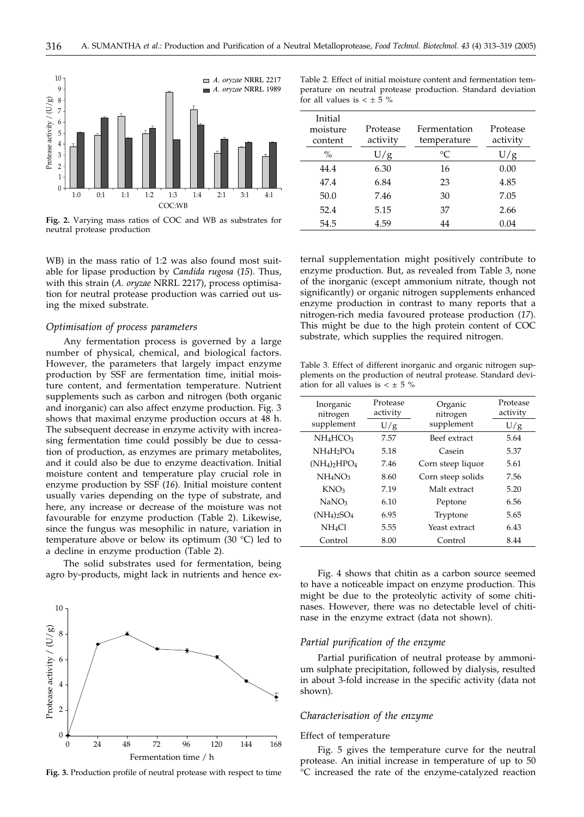

**Fig. 2.** Varying mass ratios of COC and WB as substrates for neutral protease production

WB) in the mass ratio of 1:2 was also found most suitable for lipase production by *Candida rugosa* (*15*). Thus, with this strain (*A*. *oryzae* NRRL 2217), process optimisation for neutral protease production was carried out using the mixed substrate.

#### *Optimisation of process parameters*

Any fermentation process is governed by a large number of physical, chemical, and biological factors. However, the parameters that largely impact enzyme production by SSF are fermentation time, initial moisture content, and fermentation temperature. Nutrient supplements such as carbon and nitrogen (both organic and inorganic) can also affect enzyme production. Fig. 3 shows that maximal enzyme production occurs at 48 h. The subsequent decrease in enzyme activity with increasing fermentation time could possibly be due to cessation of production, as enzymes are primary metabolites, and it could also be due to enzyme deactivation. Initial moisture content and temperature play crucial role in enzyme production by SSF (*16*). Initial moisture content usually varies depending on the type of substrate, and here, any increase or decrease of the moisture was not favourable for enzyme production (Table 2). Likewise, since the fungus was mesophilic in nature, variation in temperature above or below its optimum (30 °C) led to a decline in enzyme production (Table 2).

The solid substrates used for fermentation, being agro by-products, might lack in nutrients and hence ex-



**Fig. 3.** Production profile of neutral protease with respect to time

Table 2. Effect of initial moisture content and fermentation temperature on neutral protease production. Standard deviation for all values is  $< \pm 5$  %

| Initial<br>moisture<br>content | Protease<br>activity | Fermentation<br>temperature | Protease<br>activity |
|--------------------------------|----------------------|-----------------------------|----------------------|
| $\frac{0}{0}$                  | U/g                  | $^{\circ}C$                 | U/g                  |
| 44.4                           | 6.30                 | 16                          | 0.00                 |
| 47.4                           | 6.84                 | 23                          | 4.85                 |
| 50.0                           | 7.46                 | 30                          | 7.05                 |
| 52.4                           | 5.15                 | 37                          | 2.66                 |
| 54.5                           | 4.59                 | 44                          | 0.04                 |

ternal supplementation might positively contribute to enzyme production. But, as revealed from Table 3, none of the inorganic (except ammonium nitrate, though not significantly) or organic nitrogen supplements enhanced enzyme production in contrast to many reports that a nitrogen-rich media favoured protease production (*17*). This might be due to the high protein content of COC substrate, which supplies the required nitrogen.

Table 3. Effect of different inorganic and organic nitrogen supplements on the production of neutral protease. Standard deviation for all values is  $\lt \pm 5$  %

| Inorganic<br>nitrogen           | Protease<br>activity | Organic<br>nitrogen | Protease<br>activity |
|---------------------------------|----------------------|---------------------|----------------------|
| supplement                      | U/g                  | supplement          | U/g                  |
| $NH_4HCO3$                      | 7.57                 | Beef extract        | 5.64                 |
| NH4H2PO4                        | 5.18                 | Casein              | 5.37                 |
| $(NH_4)_2HPO_4$                 | 7.46                 | Corn steep liquor   | 5.61                 |
| NH <sub>4</sub> NO <sub>3</sub> | 8.60                 | Corn steep solids   | 7.56                 |
| KNO <sub>3</sub>                | 7.19                 | Malt extract        | 5.20                 |
| NaNO <sub>3</sub>               | 6.10                 | Peptone             | 6.56                 |
| $(NH_4)_2SO_4$                  | 6.95                 | Tryptone            | 5.65                 |
| NH <sub>4</sub> Cl              | 5.55                 | Yeast extract       | 6.43                 |
| Control                         | 8.00                 | Control             | 8.44                 |
|                                 |                      |                     |                      |

Fig. 4 shows that chitin as a carbon source seemed to have a noticeable impact on enzyme production. This might be due to the proteolytic activity of some chitinases. However, there was no detectable level of chitinase in the enzyme extract (data not shown).

## *Partial purification of the enzyme*

Partial purification of neutral protease by ammonium sulphate precipitation, followed by dialysis, resulted in about 3-fold increase in the specific activity (data not shown).

#### *Characterisation of the enzyme*

#### Effect of temperature

Fig. 5 gives the temperature curve for the neutral protease. An initial increase in temperature of up to 50 °C increased the rate of the enzyme-catalyzed reaction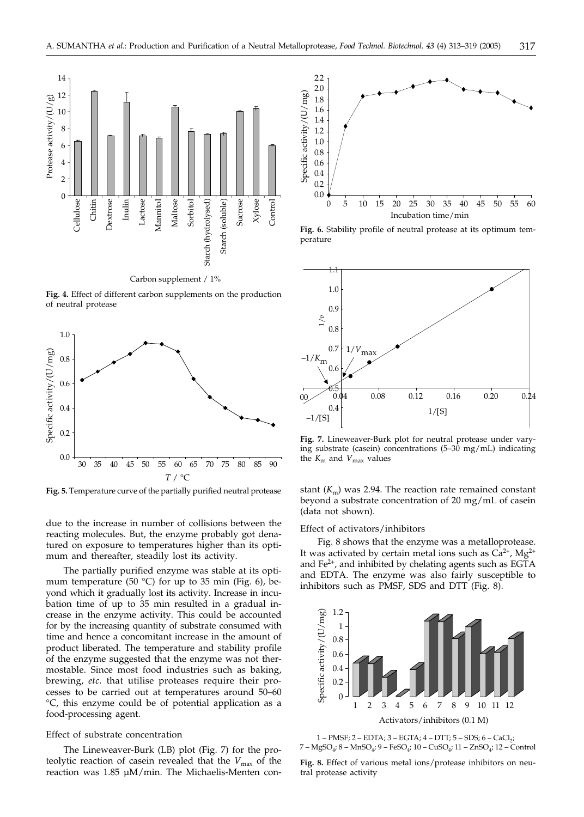

**Fig. 4.** Effect of different carbon supplements on the production of neutral protease



**Fig. 5.** Temperature curve of the partially purified neutral protease

due to the increase in number of collisions between the reacting molecules. But, the enzyme probably got denatured on exposure to temperatures higher than its optimum and thereafter, steadily lost its activity.

The partially purified enzyme was stable at its optimum temperature (50  $^{\circ}$ C) for up to 35 min (Fig. 6), beyond which it gradually lost its activity. Increase in incubation time of up to 35 min resulted in a gradual increase in the enzyme activity. This could be accounted for by the increasing quantity of substrate consumed with time and hence a concomitant increase in the amount of product liberated. The temperature and stability profile of the enzyme suggested that the enzyme was not thermostable. Since most food industries such as baking, brewing, *etc.* that utilise proteases require their processes to be carried out at temperatures around 50–60 °C, this enzyme could be of potential application as a food-processing agent.

#### Effect of substrate concentration

The Lineweaver-Burk (LB) plot (Fig. 7) for the proteolytic reaction of casein revealed that the  $V_{\text{max}}$  of the reaction was 1.85 µM/min. The Michaelis-Menten con-



**Fig. 6.** Stability profile of neutral protease at its optimum temperature



**Fig. 7.** Lineweaver-Burk plot for neutral protease under varying substrate (casein) concentrations (5–30 mg/mL) indicating the  $K_{\text{m}}$  and  $V_{\text{max}}$  values

stant  $(K<sub>m</sub>)$  was 2.94. The reaction rate remained constant beyond a substrate concentration of 20 mg/mL of casein (data not shown).

#### Effect of activators/inhibitors

Fig. 8 shows that the enzyme was a metalloprotease. It was activated by certain metal ions such as  $Ca^{2+}$ , Mg<sup>2+</sup> and Fe2+, and inhibited by chelating agents such as EGTA and EDTA. The enzyme was also fairly susceptible to inhibitors such as PMSF, SDS and DTT (Fig. 8).



1 – PMSF; 2 – EDTA; 3 – EGTA; 4 – DTT; 5 – SDS; 6 – CaCl ;  $7 - \text{MgSO}_4$ ; 8 – MnSO<sub>4</sub>; 9 – FeSO<sub>4</sub>; 10 – CuSO<sub>4</sub>; 11 – ZnSO<sub>4</sub>; 12 – Control

**Fig. 8.** Effect of various metal ions/protease inhibitors on neutral protease activity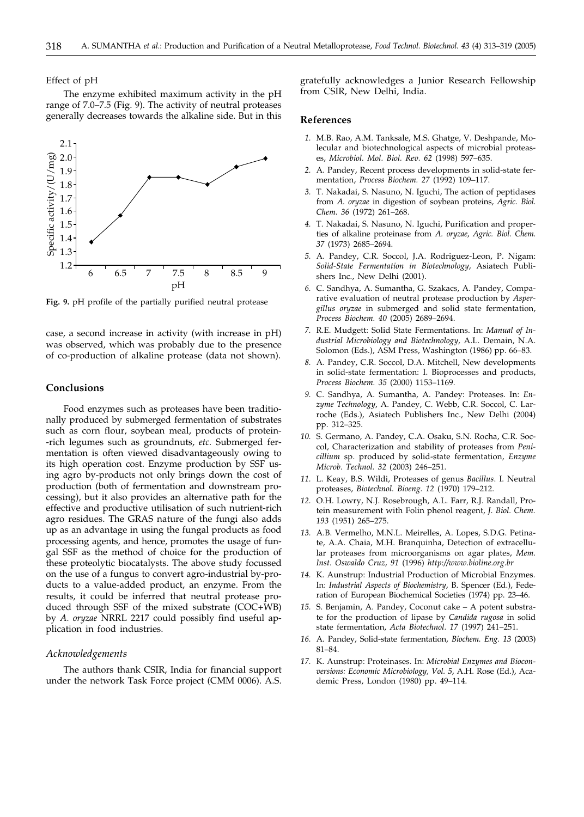Effect of pH

The enzyme exhibited maximum activity in the pH range of 7.0–7.5 (Fig. 9). The activity of neutral proteases generally decreases towards the alkaline side. But in this



**Fig. 9.** pH profile of the partially purified neutral protease

case, a second increase in activity (with increase in pH) was observed, which was probably due to the presence of co-production of alkaline protease (data not shown).

#### **Conclusions**

Food enzymes such as proteases have been traditionally produced by submerged fermentation of substrates such as corn flour, soybean meal, products of protein- -rich legumes such as groundnuts, *etc.* Submerged fermentation is often viewed disadvantageously owing to its high operation cost. Enzyme production by SSF using agro by-products not only brings down the cost of production (both of fermentation and downstream processing), but it also provides an alternative path for the effective and productive utilisation of such nutrient-rich agro residues. The GRAS nature of the fungi also adds up as an advantage in using the fungal products as food processing agents, and hence, promotes the usage of fungal SSF as the method of choice for the production of these proteolytic biocatalysts. The above study focussed on the use of a fungus to convert agro-industrial by-products to a value-added product, an enzyme. From the results, it could be inferred that neutral protease produced through SSF of the mixed substrate (COC+WB) by *A. oryzae* NRRL 2217 could possibly find useful application in food industries.

## *Acknowledgements*

The authors thank CSIR, India for financial support under the network Task Force project (CMM 0006). A.S.

gratefully acknowledges a Junior Research Fellowship from CSIR, New Delhi, India.

## **References**

- *1.* M.B. Rao, A.M. Tanksale, M.S. Ghatge, V. Deshpande, Molecular and biotechnological aspects of microbial proteases, *Microbiol. Mol. Biol. Rev. 62* (1998) 597–635.
- *2.* A. Pandey, Recent process developments in solid-state fermentation, *Process Biochem. 27* (1992) 109–117.
- *3.* T. Nakadai, S. Nasuno, N. Iguchi, The action of peptidases from *A. oryzae* in digestion of soybean proteins, *Agric. Biol. Chem. 36* (1972) 261–268.
- *4.* T. Nakadai, S. Nasuno, N. Iguchi, Purification and properties of alkaline proteinase from *A. oryzae*, *Agric. Biol. Chem. 37* (1973) 2685–2694.
- *5.* A. Pandey, C.R. Soccol, J.A. Rodriguez-Leon, P. Nigam: *Solid-State Fermentation in Biotechnology*, Asiatech Publishers Inc., New Delhi (2001).
- *6.* C. Sandhya, A. Sumantha, G. Szakacs, A. Pandey, Comparative evaluation of neutral protease production by *Aspergillus oryzae* in submerged and solid state fermentation, *Process Biochem. 40* (2005) 2689–2694.
- *7.* R.E. Mudgett: Solid State Fermentations. In: *Manual of Industrial Microbiology and Biotechnology*, A.L. Demain, N.A. Solomon (Eds.), ASM Press, Washington (1986) pp. 66–83.
- *8.* A. Pandey, C.R. Soccol, D.A. Mitchell, New developments in solid-state fermentation: I. Bioprocesses and products, *Process Biochem. 35* (2000) 1153–1169.
- *9.* C. Sandhya, A. Sumantha, A. Pandey: Proteases. In: *Enzyme Technology*, A. Pandey, C. Webb, C.R. Soccol, C. Larroche (Eds.), Asiatech Publishers Inc., New Delhi (2004) pp. 312–325.
- *10.* S. Germano, A. Pandey, C.A. Osaku, S.N. Rocha, C.R. Soccol, Characterization and stability of proteases from *Penicillium* sp. produced by solid-state fermentation, *Enzyme Microb. Technol. 32* (2003) 246–251.
- *11.* L. Keay, B.S. Wildi, Proteases of genus *Bacillus*. I. Neutral proteases, *Biotechnol. Bioeng. 12* (1970) 179–212.
- *12.* O.H. Lowry, N.J. Rosebrough, A.L. Farr, R.J. Randall, Protein measurement with Folin phenol reagent, *J. Biol. Chem. 193* (1951) 265–275.
- *13.* A.B. Vermelho, M.N.L. Meirelles, A. Lopes, S.D.G. Petinate, A.A. Chaia, M.H. Branquinha, Detection of extracellular proteases from microorganisms on agar plates, *Mem. Inst. Oswaldo Cruz, 91* (1996) *http://www.bioline.org.br*
- *14.* K. Aunstrup: Industrial Production of Microbial Enzymes. In: *Industrial Aspects of Biochemistry*, B. Spencer (Ed.), Federation of European Biochemical Societies (1974) pp. 23–46.
- *15.* S. Benjamin, A. Pandey, Coconut cake A potent substrate for the production of lipase by *Candida rugosa* in solid state fermentation, *Acta Biotechnol. 17* (1997) 241–251.
- *16.* A. Pandey, Solid-state fermentation, *Biochem. Eng. 13* (2003) 81–84.
- *17.* K. Aunstrup: Proteinases. In: *Microbial Enzymes and Bioconversions: Economic Microbiology, Vol. 5*, A.H. Rose (Ed.), Academic Press, London (1980) pp. 49–114.